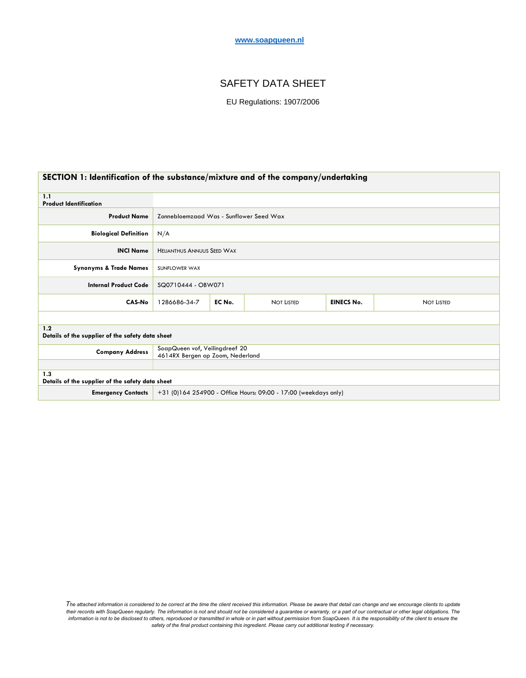#### **www.soapqueen.nl**

# SAFETY DATA SHEET

EU Regulations: 1907/2006

| SECTION 1: Identification of the substance/mixture and of the company/undertaking |                                                                    |        |                   |                   |                   |
|-----------------------------------------------------------------------------------|--------------------------------------------------------------------|--------|-------------------|-------------------|-------------------|
| 1.1<br><b>Product Identification</b>                                              |                                                                    |        |                   |                   |                   |
| <b>Product Name</b>                                                               | Zonnebloemzaad Was - Sunflower Seed Wax                            |        |                   |                   |                   |
| <b>Biological Definition</b>                                                      | N/A                                                                |        |                   |                   |                   |
| <b>INCI Name</b>                                                                  | <b>HELIANTHUS ANNUUS SEED WAX</b>                                  |        |                   |                   |                   |
| <b>Synonyms &amp; Trade Names</b>                                                 | SUNFLOWER WAX                                                      |        |                   |                   |                   |
| <b>Internal Product Code</b>                                                      | SQ0710444 - OBW071                                                 |        |                   |                   |                   |
| CAS-No                                                                            | 1286686-34-7                                                       | EC No. | <b>NOT LISTED</b> | <b>EINECS No.</b> | <b>NOT LISTED</b> |
|                                                                                   |                                                                    |        |                   |                   |                   |
| 1.2<br>Details of the supplier of the safety data sheet                           |                                                                    |        |                   |                   |                   |
| <b>Company Address</b>                                                            | SoapQueen vof, Veilingdreef 20<br>4614RX Bergen op Zoom, Nederland |        |                   |                   |                   |
|                                                                                   |                                                                    |        |                   |                   |                   |
| 1.3<br>Details of the supplier of the safety data sheet                           |                                                                    |        |                   |                   |                   |
| <b>Emergency Contacts</b>                                                         | +31 (0)164 254900 - Office Hours: 09:00 - 17:00 (weekdays only)    |        |                   |                   |                   |

*The attached information is considered to be correct at the time the client received this information. Please be aware that detail can change and we encourage clients to update*  their records with SoapQueen regularly. The information is not and should not be considered a guarantee or warranty, or a part of our contractual or other legal obligations. The information is not to be disclosed to others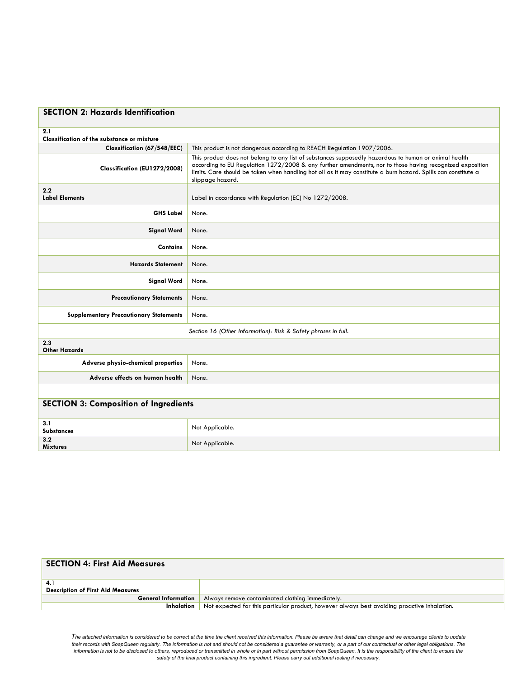| <b>SECTION 2: Hazards Identification</b>                       |                                                                                                                                                                                                                                                                                                                                                         |  |
|----------------------------------------------------------------|---------------------------------------------------------------------------------------------------------------------------------------------------------------------------------------------------------------------------------------------------------------------------------------------------------------------------------------------------------|--|
| 2.1<br><b>Classification of the substance or mixture</b>       |                                                                                                                                                                                                                                                                                                                                                         |  |
| Classification (67/548/EEC)                                    | This product is not dangerous according to REACH Regulation 1907/2006.                                                                                                                                                                                                                                                                                  |  |
| Classification (EU1272/2008)                                   | This product does not belong to any list of substances supposedly hazardous to human or animal health<br>according to EU Regulation 1272/2008 & any further amendments, nor to those having recognized exposition<br>limits. Care should be taken when handling hot oil as it may constitute a burn hazard. Spills can constitute a<br>slippage hazard. |  |
| 2.2<br><b>Label Elements</b>                                   | Label in accordance with Regulation (EC) No 1272/2008.                                                                                                                                                                                                                                                                                                  |  |
| <b>GHS Label</b>                                               | None.                                                                                                                                                                                                                                                                                                                                                   |  |
| <b>Signal Word</b>                                             | None.                                                                                                                                                                                                                                                                                                                                                   |  |
| <b>Contains</b>                                                | None.                                                                                                                                                                                                                                                                                                                                                   |  |
| <b>Hazards Statement</b>                                       | None.                                                                                                                                                                                                                                                                                                                                                   |  |
| <b>Signal Word</b>                                             | None.                                                                                                                                                                                                                                                                                                                                                   |  |
| <b>Precautionary Statements</b>                                | None.                                                                                                                                                                                                                                                                                                                                                   |  |
| <b>Supplementary Precautionary Statements</b>                  | None.                                                                                                                                                                                                                                                                                                                                                   |  |
| Section 16 (Other Information): Risk & Safety phrases in full. |                                                                                                                                                                                                                                                                                                                                                         |  |
| 2.3<br><b>Other Hazards</b>                                    |                                                                                                                                                                                                                                                                                                                                                         |  |
| Adverse physio-chemical properties                             | None.                                                                                                                                                                                                                                                                                                                                                   |  |
| Adverse effects on human health                                | None.                                                                                                                                                                                                                                                                                                                                                   |  |
|                                                                |                                                                                                                                                                                                                                                                                                                                                         |  |
| <b>SECTION 3: Composition of Ingredients</b>                   |                                                                                                                                                                                                                                                                                                                                                         |  |
| 3.1<br><b>Substances</b>                                       | Not Applicable.                                                                                                                                                                                                                                                                                                                                         |  |
| 3.2<br><b>Mixtures</b>                                         | Not Applicable.                                                                                                                                                                                                                                                                                                                                         |  |

| <b>SECTION 4: First Aid Measures</b>     |                                                                                              |
|------------------------------------------|----------------------------------------------------------------------------------------------|
| 4.1                                      |                                                                                              |
| <b>Description of First Aid Measures</b> |                                                                                              |
| <b>General Information</b>               | Always remove contaminated clothing immediately.                                             |
| Inhalation                               | Not expected for this particular product, however always best avoiding proactive inhalation. |

*The attached information is considered to be correct at the time the client received this information. Please be aware that detail can change and we encourage clients to update*  their records with SoapQueen regularly. The information is not and should not be considered a guarantee or warranty, or a part of our contractual or other legal obligations. The<br>information is not to be disclosed to others *safety of the final product containing this ingredient. Please carry out additional testing if necessary.*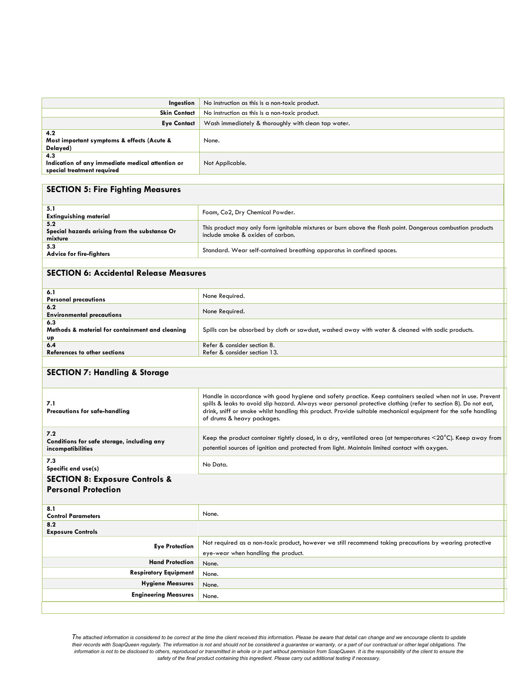| Ingestion                                                                             | No instruction as this is a non-toxic product.      |  |
|---------------------------------------------------------------------------------------|-----------------------------------------------------|--|
| <b>Skin Contact</b>                                                                   | No instruction as this is a non-toxic product.      |  |
| <b>Eye Contact</b>                                                                    | Wash immediately & thoroughly with clean tap water. |  |
| 4.2<br>Most important symptoms & effects (Acute &<br>Delayed)                         | None.                                               |  |
| 4.3<br>Indication of any immediate medical attention or<br>special treatment required | Not Applicable.                                     |  |

#### **SECTION 5: Fire Fighting Measures**

| 5.1<br><b>Extinguishing material</b>                            | Foam, Co2, Dry Chemical Powder.                                                                                                                 |
|-----------------------------------------------------------------|-------------------------------------------------------------------------------------------------------------------------------------------------|
| 5.2<br>Special hazards arising from the substance Or<br>mixture | This product may only form ignitable mixtures or burn above the flash point. Dangerous combustion products<br>include smoke & oxides of carbon. |
| 5.3<br><b>Advice for fire-fighters</b>                          | Standard. Wear self-contained breathing apparatus in confined spaces.                                                                           |
|                                                                 |                                                                                                                                                 |

### **SECTION 6: Accidental Release Measures**

| 6.1                                             | None Required.                                                                                    |  |
|-------------------------------------------------|---------------------------------------------------------------------------------------------------|--|
| <b>Personal precautions</b>                     |                                                                                                   |  |
| 6.2                                             | None Required.                                                                                    |  |
| <b>Environmental precautions</b>                |                                                                                                   |  |
| 6.3                                             |                                                                                                   |  |
| Methods & material for containment and cleaning | Spills can be absorbed by cloth or sawdust, washed away with water & cleaned with sodic products. |  |
| υp                                              |                                                                                                   |  |
| 6.4                                             | Refer & consider section 8.                                                                       |  |
| References to other sections                    | Refer & consider section 13.                                                                      |  |

# **SECTION 7: Handling & Storage**

| 7.1<br>Precautions for safe-handling                                    | Handle in accordance with good hygiene and safety practice. Keep containers sealed when not in use. Prevent<br>spills & leaks to avoid slip hazard. Always wear personal protective clothing (refer to section 8). Do not eat,<br>drink, sniff or smoke whilst handling this product. Provide suitable mechanical equipment for the safe handling<br>of drums & heavy packages. |  |
|-------------------------------------------------------------------------|---------------------------------------------------------------------------------------------------------------------------------------------------------------------------------------------------------------------------------------------------------------------------------------------------------------------------------------------------------------------------------|--|
| 7.2<br>Conditions for safe storage, including any<br>incompatibilities  | Keep the product container tightly closed, in a dry, ventilated area (at temperatures $\leq 20^{\circ}$ C). Keep away from<br>potential sources of ignition and protected from light. Maintain limited contact with oxygen.                                                                                                                                                     |  |
| 7.3<br>Specific end use(s)                                              | No Data.                                                                                                                                                                                                                                                                                                                                                                        |  |
| <b>SECTION 8: Exposure Controls &amp;</b><br><b>Personal Protection</b> |                                                                                                                                                                                                                                                                                                                                                                                 |  |
| 8.1<br><b>Control Parameters</b>                                        | None.                                                                                                                                                                                                                                                                                                                                                                           |  |
| 8.2<br><b>Exposure Controls</b>                                         |                                                                                                                                                                                                                                                                                                                                                                                 |  |
| <b>Eye Protection</b>                                                   | Not required as a non-toxic product, however we still recommend taking precautions by wearing protective<br>eye-wear when handling the product.                                                                                                                                                                                                                                 |  |
| <b>Hand Protection</b>                                                  | None.                                                                                                                                                                                                                                                                                                                                                                           |  |
| <b>Respiratory Equipment</b>                                            | None.                                                                                                                                                                                                                                                                                                                                                                           |  |
| <b>Hygiene Measures</b>                                                 | None.                                                                                                                                                                                                                                                                                                                                                                           |  |

*The attached information is considered to be correct at the time the client received this information. Please be aware that detail can change and we encourage clients to update*  their records with SoapQueen regularly. The information is not and should not be considered a guarantee or warranty, or a part of our contractual or other legal obligations. The information is not to be disclosed to others

**Engineering Measures** None.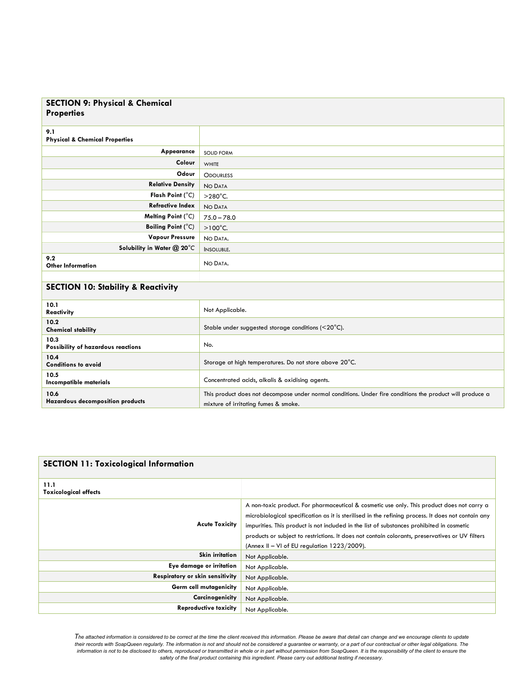#### **SECTION 9: Physical & Chemical Properties**

| 9.1<br><b>Physical &amp; Chemical Properties</b> |                   |
|--------------------------------------------------|-------------------|
| Appearance                                       | <b>SOLID FORM</b> |
| Colour                                           | WHITE             |
| Odour                                            | <b>ODOURLESS</b>  |
| <b>Relative Density</b>                          | NO DATA           |
| Flash Point (°C)                                 | $>280^{\circ}$ C. |
| <b>Refractive Index</b>                          | NO DATA           |
| Melting Point (°C)                               | $75.0 - 78.0$     |
| <b>Boiling Point (°C)</b>                        | $>100^{\circ}$ C. |
| <b>Vapour Pressure</b>                           | NO DATA.          |
| Solubility in Water @ 20°C                       | <b>INSOLUBLE.</b> |
| 9.2<br><b>Other Information</b>                  | NO DATA.          |
|                                                  |                   |

# **SECTION 10: Stability & Reactivity**

| 10.1<br><b>Reactivity</b>                         | Not Applicable.                                                                                                                                   |
|---------------------------------------------------|---------------------------------------------------------------------------------------------------------------------------------------------------|
| 10.2 <sub>2</sub><br><b>Chemical stability</b>    | Stable under suggested storage conditions $(<20^{\circ}$ C).                                                                                      |
| 10.3<br><b>Possibility of hazardous reactions</b> | No.                                                                                                                                               |
| 10.4<br><b>Conditions to avoid</b>                | Storage at high temperatures. Do not store above 20°C.                                                                                            |
| 10.5<br>Incompatible materials                    | Concentrated acids, alkalis & oxidising agents.                                                                                                   |
| 10.6<br><b>Hazardous decomposition products</b>   | This product does not decompose under normal conditions. Under fire conditions the product will produce a<br>mixture of irritating fumes & smoke. |

| <b>SECTION 11: Toxicological Information</b> |                                                                                                                                                                                                                                                                                                                                                                                                                                                    |
|----------------------------------------------|----------------------------------------------------------------------------------------------------------------------------------------------------------------------------------------------------------------------------------------------------------------------------------------------------------------------------------------------------------------------------------------------------------------------------------------------------|
| 11.1<br><b>Toxicological effects</b>         |                                                                                                                                                                                                                                                                                                                                                                                                                                                    |
| <b>Acute Toxicity</b>                        | A non-toxic product. For pharmaceutical & cosmetic use only. This product does not carry a<br>microbiological specification as it is sterilised in the refining process. It does not contain any<br>impurities. This product is not included in the list of substances prohibited in cosmetic<br>products or subject to restrictions. It does not contain colorants, preservatives or UV filters<br>(Annex II – VI of EU regulation $1223/2009$ ). |
| <b>Skin irritation</b>                       | Not Applicable.                                                                                                                                                                                                                                                                                                                                                                                                                                    |
| Eye damage or irritation                     | Not Applicable.                                                                                                                                                                                                                                                                                                                                                                                                                                    |
| <b>Respiratory or skin sensitivity</b>       | Not Applicable.                                                                                                                                                                                                                                                                                                                                                                                                                                    |
| Germ cell mutagenicity                       | Not Applicable.                                                                                                                                                                                                                                                                                                                                                                                                                                    |
| Carcinogenicity                              | Not Applicable.                                                                                                                                                                                                                                                                                                                                                                                                                                    |
| <b>Reproductive toxicity</b>                 | Not Applicable.                                                                                                                                                                                                                                                                                                                                                                                                                                    |

*The attached information is considered to be correct at the time the client received this information. Please be aware that detail can change and we encourage clients to update*  their records with SoapQueen regularly. The information is not and should not be considered a guarantee or warranty, or a part of our contractual or other legal obligations. The *information is not to be disclosed to others, reproduced or transmitted in whole or in part without permission from SoapQueen. It is the responsibility of the client to ensure the safety of the final product containing this ingredient. Please carry out additional testing if necessary.*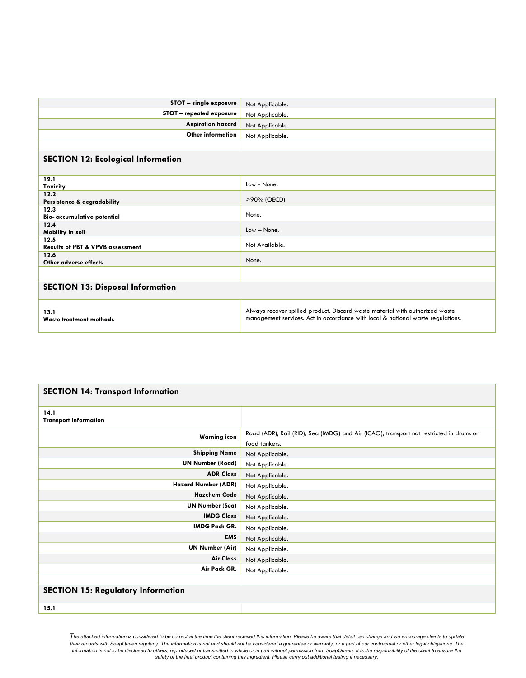| STOT - single exposure                              | Not Applicable.                                                                                                                                                 |  |
|-----------------------------------------------------|-----------------------------------------------------------------------------------------------------------------------------------------------------------------|--|
| STOT - repeated exposure                            | Not Applicable.                                                                                                                                                 |  |
| <b>Aspiration hazard</b>                            | Not Applicable.                                                                                                                                                 |  |
| Other information                                   | Not Applicable.                                                                                                                                                 |  |
|                                                     |                                                                                                                                                                 |  |
| <b>SECTION 12: Ecological Information</b>           |                                                                                                                                                                 |  |
| 12.1<br>Toxicity                                    | Low - None.                                                                                                                                                     |  |
| 12.2<br>Persistence & degradability                 | >90% (OECD)                                                                                                                                                     |  |
| 12.3<br>Bio- accumulative potential                 | None.                                                                                                                                                           |  |
| 12.4<br>Mobility in soil                            | Low - None.                                                                                                                                                     |  |
| 12.5<br><b>Results of PBT &amp; VPVB assessment</b> | Not Available.                                                                                                                                                  |  |
| 12.6<br>Other adverse effects                       | None.                                                                                                                                                           |  |
|                                                     |                                                                                                                                                                 |  |
| <b>SECTION 13: Disposal Information</b>             |                                                                                                                                                                 |  |
| 13.1<br>Waste treatment methods                     | Always recover spilled product. Discard waste material with authorized waste<br>management services. Act in accordance with local & national waste regulations. |  |

| <b>SECTION 14: Transport Information</b>  |                                                                                                          |  |
|-------------------------------------------|----------------------------------------------------------------------------------------------------------|--|
| 14.1<br><b>Transport Information</b>      |                                                                                                          |  |
| <b>Warning icon</b>                       | Road (ADR), Rail (RID), Sea (IMDG) and Air (ICAO), transport not restricted in drums or<br>food tankers. |  |
| <b>Shipping Name</b>                      | Not Applicable.                                                                                          |  |
| <b>UN Number (Road)</b>                   | Not Applicable.                                                                                          |  |
| <b>ADR Class</b>                          | Not Applicable.                                                                                          |  |
| <b>Hazard Number (ADR)</b>                | Not Applicable.                                                                                          |  |
| <b>Hazchem Code</b>                       | Not Applicable.                                                                                          |  |
| <b>UN Number (Sea)</b>                    | Not Applicable.                                                                                          |  |
| <b>IMDG Class</b>                         | Not Applicable.                                                                                          |  |
| <b>IMDG Pack GR.</b>                      | Not Applicable.                                                                                          |  |
| <b>EMS</b>                                | Not Applicable.                                                                                          |  |
| <b>UN Number (Air)</b>                    | Not Applicable.                                                                                          |  |
| <b>Air Class</b>                          | Not Applicable.                                                                                          |  |
| Air Pack GR.                              | Not Applicable.                                                                                          |  |
|                                           |                                                                                                          |  |
| <b>SECTION 15: Regulatory Information</b> |                                                                                                          |  |
| 15.1                                      |                                                                                                          |  |

*The attached information is considered to be correct at the time the client received this information. Please be aware that detail can change and we encourage clients to update*  their records with SoapQueen regularly. The information is not and should not be considered a guarantee or warranty, or a part of our contractual or other legal obligations. The information is not to be disclosed to others, reproduced or transmitted in whole or in part without permission from SoapQueen. It is the responsibility of the client to ensure the<br>safety of the final product containing thi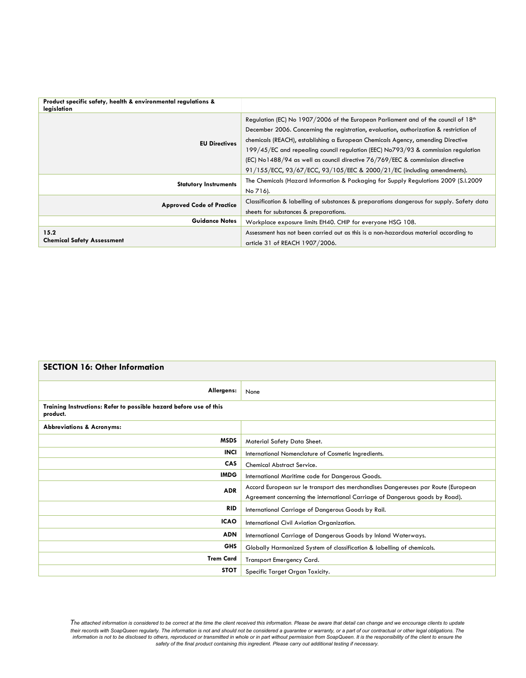| Product specific safety, health & environmental regulations &<br>legislation |                                                                                                                                                                                                                                                                                                                                                                                                                                                   |
|------------------------------------------------------------------------------|---------------------------------------------------------------------------------------------------------------------------------------------------------------------------------------------------------------------------------------------------------------------------------------------------------------------------------------------------------------------------------------------------------------------------------------------------|
| <b>EU Directives</b>                                                         | Regulation (EC) No 1907/2006 of the European Parliament and of the council of 18 <sup>th</sup><br>December 2006. Concerning the registration, evaluation, authorization & restriction of<br>chemicals (REACH), establishing a European Chemicals Agency, amending Directive<br>199/45/EC and repealing council regulation (EEC) No793/93 & commission regulation<br>(EC) No1488/94 as well as council directive 76/769/EEC & commission directive |
|                                                                              | 91/155/ECC, 93/67/ECC, 93/105/EEC & 2000/21/EC (including amendments).                                                                                                                                                                                                                                                                                                                                                                            |
| <b>Statutory Instruments</b>                                                 | The Chemicals (Hazard Information & Packaging for Supply Regulations 2009 (S.I.2009)                                                                                                                                                                                                                                                                                                                                                              |
|                                                                              | No 716).                                                                                                                                                                                                                                                                                                                                                                                                                                          |
| <b>Approved Code of Practice</b>                                             | Classification & labelling of substances & preparations dangerous for supply. Safety data                                                                                                                                                                                                                                                                                                                                                         |
|                                                                              | sheets for substances & preparations.                                                                                                                                                                                                                                                                                                                                                                                                             |
| <b>Guidance Notes</b>                                                        | Workplace exposure limits EH40. CHIP for everyone HSG 108.                                                                                                                                                                                                                                                                                                                                                                                        |
| 15.2<br><b>Chemical Safety Assessment</b>                                    | Assessment has not been carried out as this is a non-hazardous material according to<br>article 31 of REACH 1907/2006.                                                                                                                                                                                                                                                                                                                            |

| <b>SECTION 16: Other Information</b>                                           |                                                                                   |
|--------------------------------------------------------------------------------|-----------------------------------------------------------------------------------|
| Allergens:                                                                     | None                                                                              |
| Training Instructions: Refer to possible hazard before use of this<br>product. |                                                                                   |
| <b>Abbreviations &amp; Acronyms:</b>                                           |                                                                                   |
| <b>MSDS</b>                                                                    | Material Safety Data Sheet.                                                       |
| <b>INCI</b>                                                                    | International Nomenclature of Cosmetic Ingredients.                               |
| <b>CAS</b>                                                                     | <b>Chemical Abstract Service.</b>                                                 |
| <b>IMDG</b>                                                                    | International Maritime code for Dangerous Goods.                                  |
| <b>ADR</b>                                                                     | Accord European sur le transport des merchandises Dangereuses par Route (European |
|                                                                                | Agreement concerning the international Carriage of Dangerous goods by Road).      |
| <b>RID</b>                                                                     | International Carriage of Dangerous Goods by Rail.                                |
| <b>ICAO</b>                                                                    | International Civil Aviation Organization.                                        |
| <b>ADN</b>                                                                     | International Carriage of Dangerous Goods by Inland Waterways.                    |
| <b>GHS</b>                                                                     | Globally Harmonized System of classification & labelling of chemicals.            |
| <b>Trem Card</b>                                                               | <b>Transport Emergency Card.</b>                                                  |
| <b>STOT</b>                                                                    | Specific Target Organ Toxicity.                                                   |

*The attached information is considered to be correct at the time the client received this information. Please be aware that detail can change and we encourage clients to update*  their records with SoapQueen regularly. The information is not and should not be considered a guarantee or warranty, or a part of our contractual or other legal obligations. The<br>information is not to be disclosed to other *safety of the final product containing this ingredient. Please carry out additional testing if necessary.*